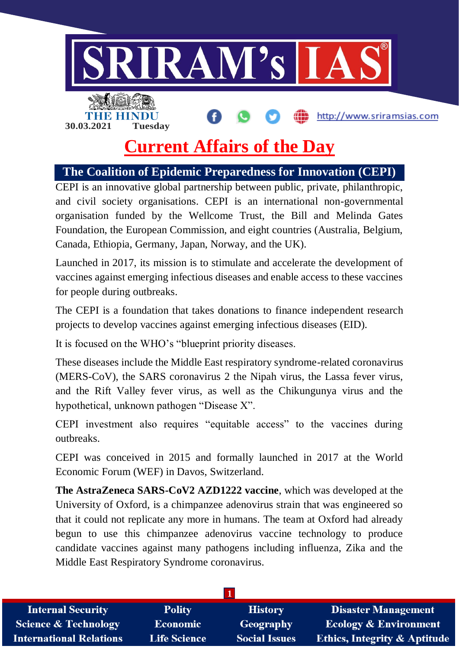

## **Current Affairs of the Day**

**The Coalition of Epidemic Preparedness for Innovation (CEPI)**

CEPI is an innovative global partnership between public, private, philanthropic, and civil society organisations. CEPI is an international non-governmental organisation funded by the Wellcome Trust, the Bill and Melinda Gates Foundation, the European Commission, and eight countries (Australia, Belgium, Canada, Ethiopia, Germany, Japan, Norway, and the UK).

Launched in 2017, its mission is to stimulate and accelerate the development of vaccines against emerging infectious diseases and enable access to these vaccines for people during outbreaks.

The CEPI is a foundation that takes donations to finance independent research projects to develop vaccines against emerging infectious diseases (EID).

It is focused on the WHO's "blueprint priority diseases.

These diseases include the Middle East respiratory syndrome-related coronavirus (MERS-CoV), the SARS coronavirus 2 the Nipah virus, the Lassa fever virus, and the Rift Valley fever virus, as well as the Chikungunya virus and the hypothetical, unknown pathogen "Disease X".

CEPI investment also requires "equitable access" to the vaccines during outbreaks.

CEPI was conceived in 2015 and formally launched in 2017 at the World Economic Forum (WEF) in Davos, Switzerland.

**The AstraZeneca SARS-CoV2 AZD1222 vaccine**, which was developed at the University of Oxford, is a chimpanzee adenovirus strain that was engineered so that it could not replicate any more in humans. The team at Oxford had already begun to use this chimpanzee adenovirus vaccine technology to produce candidate vaccines against many pathogens including influenza, Zika and the Middle East Respiratory Syndrome coronavirus.

| <b>Internal Security</b>        | <b>Polity</b>       | <b>History</b>       | <b>Disaster Management</b>              |  |  |
|---------------------------------|---------------------|----------------------|-----------------------------------------|--|--|
| <b>Science &amp; Technology</b> | <b>Economic</b>     | Geography            | <b>Ecology &amp; Environment</b>        |  |  |
| <b>International Relations</b>  | <b>Life Science</b> | <b>Social Issues</b> | <b>Ethics, Integrity &amp; Aptitude</b> |  |  |